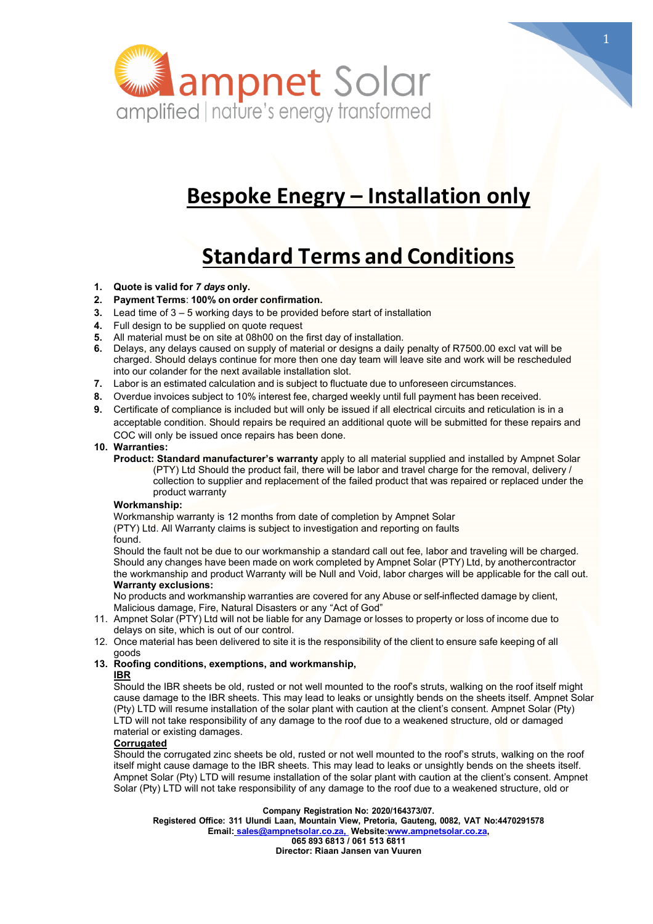

# **Bespoke Enegry – Installation only**

# **Standard Terms and Conditions**

- **1. Quote is valid for** *7 days* **only.**
- **2. Payment Terms**: **100% on order confirmation.**
- **3.** Lead time of 3 5 working days to be provided before start of installation
- **4.** Full design to be supplied on quote request
- **5.** All material must be on site at 08h00 on the first day of installation.
- **6.** Delays, any delays caused on supply of material or designs a daily penalty of R7500.00 excl vat will be charged. Should delays continue for more then one day team will leave site and work will be rescheduled into our colander for the next available installation slot.
- **7.** Labor is an estimated calculation and is subject to fluctuate due to unforeseen circumstances.
- **8.** Overdue invoices subject to 10% interest fee, charged weekly until full payment has been received.
- **9.** Certificate of compliance is included but will only be issued if all electrical circuits and reticulation is in a acceptable condition. Should repairs be required an additional quote will be submitted for these repairs and COC will only be issued once repairs has been done.

# **10. Warranties:**

**Product: Standard manufacturer's warranty** apply to all material supplied and installed by Ampnet Solar (PTY) Ltd Should the product fail, there will be labor and travel charge for the removal, delivery / collection to supplier and replacement of the failed product that was repaired or replaced under the product warranty

# **Workmanship:**

Workmanship warranty is 12 months from date of completion by Ampnet Solar (PTY) Ltd. All Warranty claims is subject to investigation and reporting on faults

found.

Should the fault not be due to our workmanship a standard call out fee, labor and traveling will be charged. Should any changes have been made on work completed by Ampnet Solar (PTY) Ltd, by anothercontractor the workmanship and product Warranty will be Null and Void, labor charges will be applicable for the call out. **Warranty exclusions:**

No products and workmanship warranties are covered for any Abuse or self-inflected damage by client, Malicious damage, Fire, Natural Disasters or any "Act of God"

- 11. Ampnet Solar (PTY) Ltd will not be liable for any Damage or losses to property or loss of income due to delays on site, which is out of our control.
- 12. Once material has been delivered to site it is the responsibility of the client to ensure safe keeping of all goods
- **13. Roofing conditions, exemptions, and workmanship, IBR**

Should the IBR sheets be old, rusted or not well mounted to the roof's struts, walking on the roof itself might cause damage to the IBR sheets. This may lead to leaks or unsightly bends on the sheets itself. Ampnet Solar (Pty) LTD will resume installation of the solar plant with caution at the client's consent. Ampnet Solar (Pty) LTD will not take responsibility of any damage to the roof due to a weakened structure, old or damaged material or existing damages.

# **Corrugated**

Should the corrugated zinc sheets be old, rusted or not well mounted to the roof's struts, walking on the roof itself might cause damage to the IBR sheets. This may lead to leaks or unsightly bends on the sheets itself. Ampnet Solar (Pty) LTD will resume installation of the solar plant with caution at the client's consent. Ampnet Solar (Pty) LTD will not take responsibility of any damage to the roof due to a weakened structure, old or

**Company Registration No: 2020/164373/07.**

**Registered Office: 311 Ulundi Laan, Mountain View, Pretoria, Gauteng, 0082, VAT No:4470291578 Email: sales@ampnetsolar.co.za, Website[:www.ampnetsolar.co.za,](http://www.ampnetsolar.co.za/) 065 893 6813 / 061 513 6811**

**Director: Riaan Jansen van Vuuren**